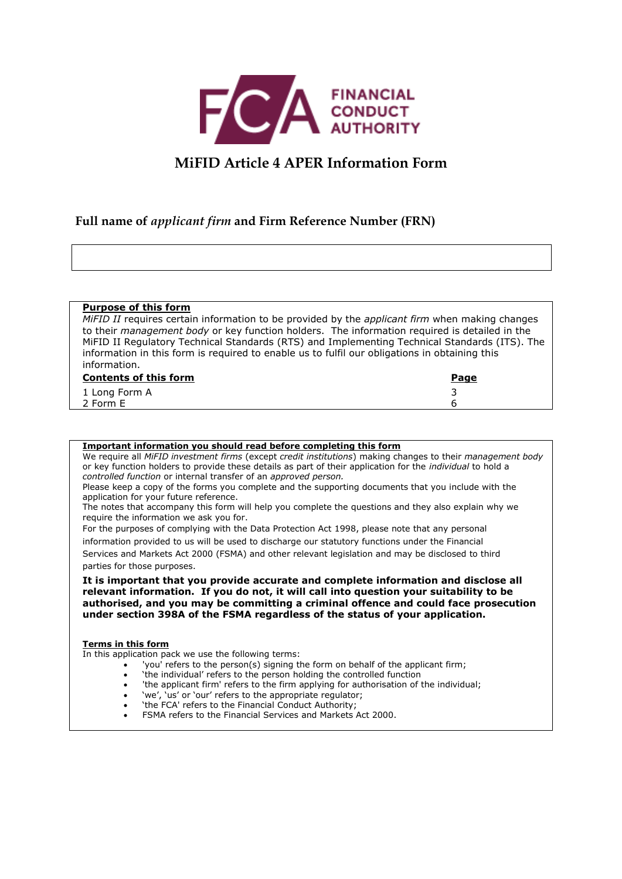

# **MiFID Article 4 APER Information Form**

## **Full name of** *applicant firm* **and Firm Reference Number (FRN)**

#### **Purpose of this form**

*MiFID II* requires certain information to be provided by the *applicant firm* when making changes to their *management body* or key function holders. The information required is detailed in the MiFID II Regulatory Technical Standards (RTS) and Implementing Technical Standards (ITS). The information in this form is required to enable us to fulfil our obligations in obtaining this information.

| <b>Contents of this form</b> | <u>Page</u> |
|------------------------------|-------------|
| 1 Long Form A                |             |
| 2 Form E                     |             |

#### **Important information you should read before completing this form**

We require all *MiFID investment firms* (except *credit institutions*) making changes to their *management body* or key function holders to provide these details as part of their application for the *individual* to hold a *controlled function* or internal transfer of an *approved person.*

Please keep a copy of the forms you complete and the supporting documents that you include with the application for your future reference.

The notes that accompany this form will help you complete the questions and they also explain why we require the information we ask you for.

For the purposes of complying with the Data Protection Act 1998, please note that any personal

information provided to us will be used to discharge our statutory functions under the Financial Services and Markets Act 2000 (FSMA) and other relevant legislation and may be disclosed to third

parties for those purposes.

**It is important that you provide accurate and complete information and disclose all relevant information. If you do not, it will call into question your suitability to be authorised, and you may be committing a criminal offence and could face prosecution under section 398A of the FSMA regardless of the status of your application.**

#### **Terms in this form**

In this application pack we use the following terms:

- 'you' refers to the person(s) signing the form on behalf of the applicant firm;
- 'the individual' refers to the person holding the controlled function
- 'the applicant firm' refers to the firm applying for authorisation of the individual;
- 'we', 'us' or 'our' refers to the appropriate regulator;
- 'the FCA' refers to the Financial Conduct Authority;
- FSMA refers to the Financial Services and Markets Act 2000.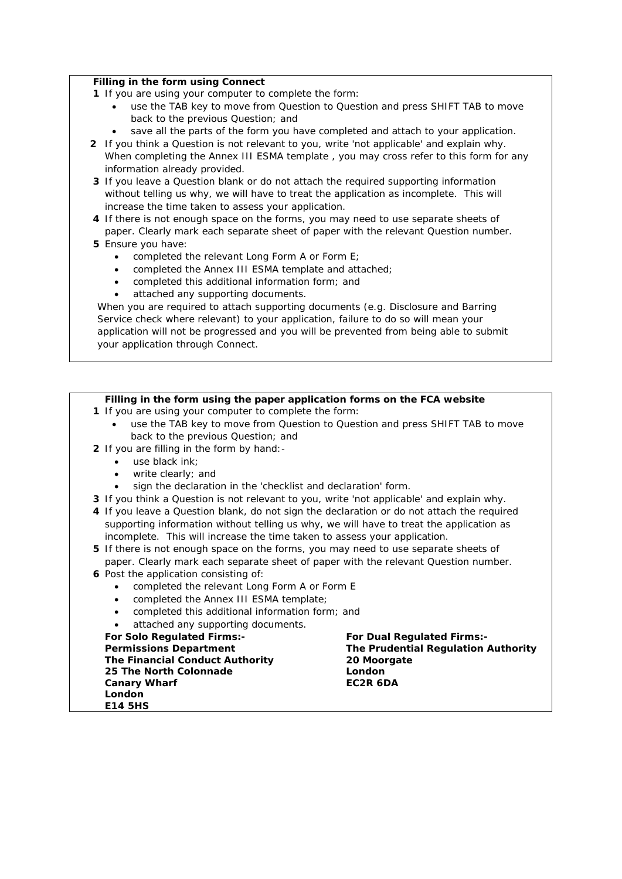#### **Filling in the form using Connect**

- **1** If you are using your computer to complete the form:
	- use the TAB key to move from Question to Question and press SHIFT TAB to move back to the previous Question; and
	- save all the parts of the form you have completed and attach to your application.
- **2** If you think a Question is not relevant to you, write 'not applicable' and explain why. When completing the Annex III ESMA template , you may cross refer to this form for any information already provided.
- **3** If you leave a Question blank or do not attach the required supporting information without telling us why, we will have to treat the application as incomplete. This will increase the time taken to assess your application.
- **4** If there is not enough space on the forms, you may need to use separate sheets of paper. Clearly mark each separate sheet of paper with the relevant Question number.
- **5** Ensure you have:
	- completed the relevant Long Form A or Form E;
	- completed the Annex III ESMA template and attached;
	- completed this additional information form; and
	- attached any supporting documents.

When you are required to attach supporting documents (e.g. Disclosure and Barring Service check where relevant) to your application, failure to do so will mean your application will not be progressed and you will be prevented from being able to submit your application through Connect.

### **Filling in the form using the paper application forms on the FCA website**

- **1** If you are using your computer to complete the form:
	- use the TAB key to move from Question to Question and press SHIFT TAB to move back to the previous Question; and
- **2** If you are filling in the form by hand:
	- use black ink;
	- write clearly; and
	- sign the declaration in the 'checklist and declaration' form.
- **3** If you think a Question is not relevant to you, write 'not applicable' and explain why.
- **4** If you leave a Question blank, do not sign the declaration or do not attach the required supporting information without telling us why, we will have to treat the application as incomplete. This will increase the time taken to assess your application.
- **5** If there is not enough space on the forms, you may need to use separate sheets of paper. Clearly mark each separate sheet of paper with the relevant Question number.
- **6** Post the application consisting of:
	- completed the relevant Long Form A or Form E
	- completed the Annex III ESMA template;
	- completed this additional information form; and
	- attached any supporting documents.

**For Solo Regulated Firms:- Permissions Department The Financial Conduct Authority 25 The North Colonnade Canary Wharf London E14 5HS** 

**For Dual Regulated Firms:- The Prudential Regulation Authority 20 Moorgate London EC2R 6DA**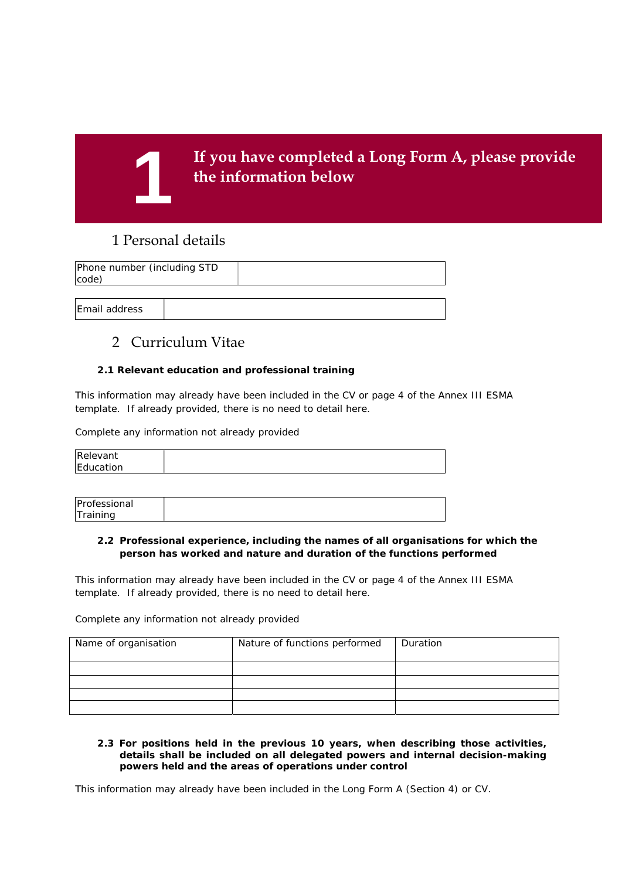

# 1 Personal details

| Phone number (including STD<br>code) |  |  |
|--------------------------------------|--|--|
|                                      |  |  |
| <b>Email address</b>                 |  |  |

# 2 Curriculum Vitae

#### **2.1 Relevant education and professional training**

This information may already have been included in the CV or page 4 of the Annex III ESMA template. If already provided, there is no need to detail here.

Complete any information not already provided

| Relevant  |  |
|-----------|--|
| Education |  |

| Professional        |  |
|---------------------|--|
| lΤ<br>$-$<br>ainina |  |

### **2.2 Professional experience, including the names of all organisations for which the person has worked and nature and duration of the functions performed**

This information may already have been included in the CV or page 4 of the Annex III ESMA template. If already provided, there is no need to detail here.

Complete any information not already provided

| Name of organisation | Nature of functions performed | Duration |
|----------------------|-------------------------------|----------|
|                      |                               |          |
|                      |                               |          |
|                      |                               |          |
|                      |                               |          |

#### **2.3 For positions held in the previous 10 years, when describing those activities, details shall be included on all delegated powers and internal decision-making powers held and the areas of operations under control**

This information may already have been included in the Long Form A (Section 4) or CV.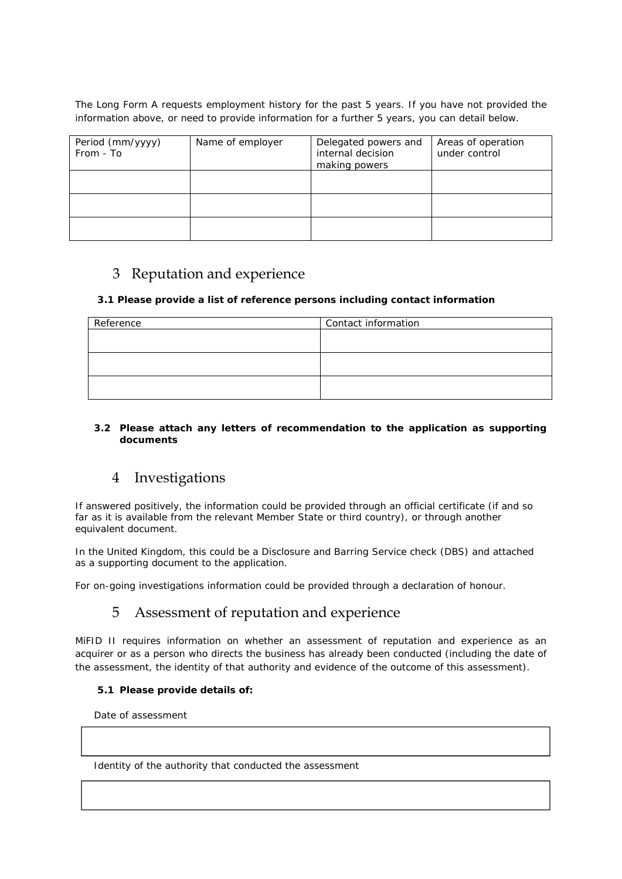The Long Form A requests employment history for the past 5 years. If you have not provided the information above, or need to provide information for a further 5 years, you can detail below.

| Period (mm/yyyy)<br>From - To | Name of employer | Delegated powers and<br>internal decision<br>making powers | Areas of operation<br>under control |
|-------------------------------|------------------|------------------------------------------------------------|-------------------------------------|
|                               |                  |                                                            |                                     |
|                               |                  |                                                            |                                     |
|                               |                  |                                                            |                                     |

# 3 Reputation and experience

### **3.1 Please provide a list of reference persons including contact information**

| Reference | Contact information |
|-----------|---------------------|
|           |                     |
|           |                     |
|           |                     |
|           |                     |
|           |                     |
|           |                     |

### **3.2 Please attach any letters of recommendation to the application as supporting documents**

# 4 Investigations

If answered positively, the information could be provided through an official certificate (if and so far as it is available from the relevant Member State or third country), or through another equivalent document.

In the United Kingdom, this could be a Disclosure and Barring Service check (DBS) and attached as a supporting document to the application.

For on-going investigations information could be provided through a declaration of honour.

# 5 Assessment of reputation and experience

MiFID II requires information on whether an assessment of reputation and experience as an acquirer or as a person who directs the business has already been conducted (including the date of the assessment, the identity of that authority and evidence of the outcome of this assessment).

### **5.1 Please provide details of:**

Date of assessment

Identity of the authority that conducted the assessment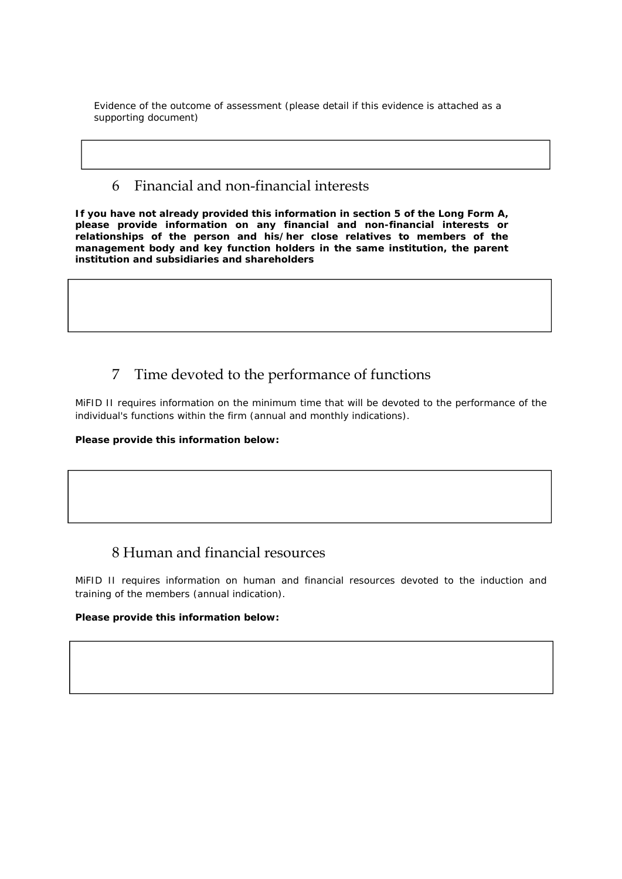Evidence of the outcome of assessment (please detail if this evidence is attached as a supporting document)

## 6 Financial and non-financial interests

**If you have not already provided this information in section 5 of the Long Form A, please provide information on any financial and non-financial interests or relationships of the person and his/her close relatives to members of the management body and key function holders in the same institution, the parent institution and subsidiaries and shareholders** 

# 7 Time devoted to the performance of functions

MiFID II requires information on the minimum time that will be devoted to the performance of the individual's functions within the firm (annual and monthly indications).

**Please provide this information below:** 

# 8 Human and financial resources

MiFID II requires information on human and financial resources devoted to the induction and training of the members (annual indication).

### **Please provide this information below:**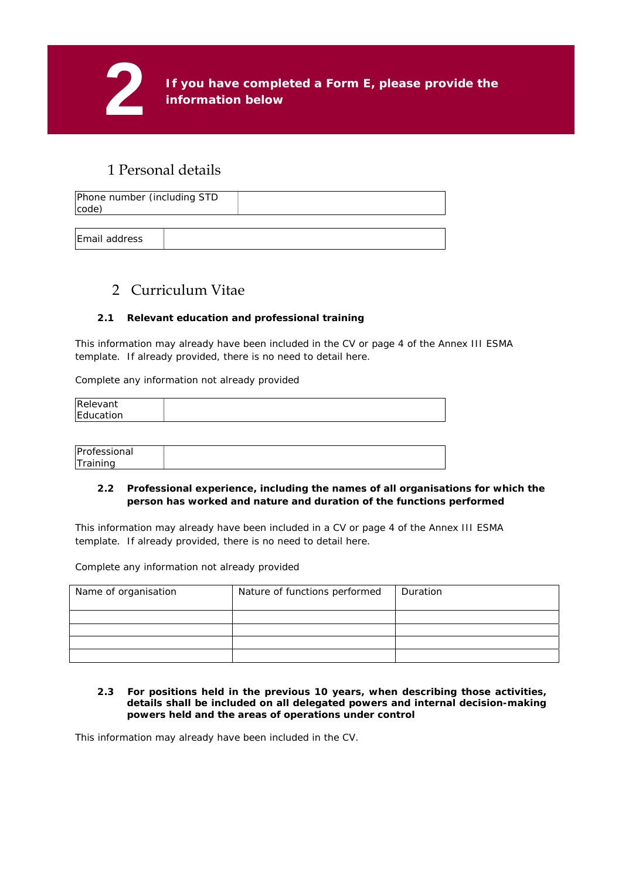

# 1 Personal details

| Phone number (including STD<br>code) |  |
|--------------------------------------|--|
|                                      |  |

Email address

# 2 Curriculum Vitae

## **2.1 Relevant education and professional training**

This information may already have been included in the CV or page 4 of the Annex III ESMA template. If already provided, there is no need to detail here.

Complete any information not already provided

| Relevant  |  |
|-----------|--|
| Education |  |
|           |  |

| Professional     |  |
|------------------|--|
| <b>ITraining</b> |  |

#### **2.2 Professional experience, including the names of all organisations for which the person has worked and nature and duration of the functions performed**

This information may already have been included in a CV or page 4 of the Annex III ESMA template. If already provided, there is no need to detail here.

Complete any information not already provided

| Name of organisation | Nature of functions performed | Duration |
|----------------------|-------------------------------|----------|
|                      |                               |          |
|                      |                               |          |
|                      |                               |          |
|                      |                               |          |

**2.3 For positions held in the previous 10 years, when describing those activities, details shall be included on all delegated powers and internal decision-making powers held and the areas of operations under control** 

This information may already have been included in the CV.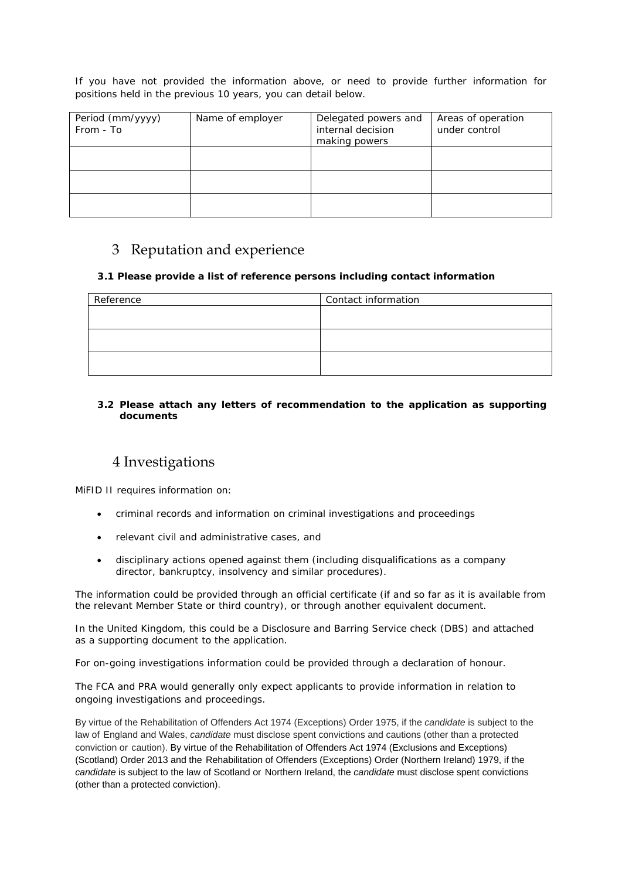If you have not provided the information above, or need to provide further information for positions held in the previous 10 years, you can detail below.

| Period (mm/yyyy)<br>From - To | Name of employer | Delegated powers and<br>internal decision<br>making powers | Areas of operation<br>under control |
|-------------------------------|------------------|------------------------------------------------------------|-------------------------------------|
|                               |                  |                                                            |                                     |
|                               |                  |                                                            |                                     |
|                               |                  |                                                            |                                     |

# 3 Reputation and experience

### **3.1 Please provide a list of reference persons including contact information**

| Reference | Contact information |
|-----------|---------------------|
|           |                     |
|           |                     |
|           |                     |
|           |                     |
|           |                     |
|           |                     |

#### **3.2 Please attach any letters of recommendation to the application as supporting documents**

# 4 Investigations

MiFID II requires information on:

- criminal records and information on criminal investigations and proceedings
- relevant civil and administrative cases, and
- disciplinary actions opened against them (including disqualifications as a company director, bankruptcy, insolvency and similar procedures).

The information could be provided through an official certificate (if and so far as it is available from the relevant Member State or third country), or through another equivalent document.

In the United Kingdom, this could be a Disclosure and Barring Service check (DBS) and attached as a supporting document to the application.

For on-going investigations information could be provided through a declaration of honour.

The FCA and PRA would generally only expect applicants to provide information in relation to ongoing investigations and proceedings.

By virtue of the Rehabilitation of Offenders Act 1974 (Exceptions) Order 1975, if the *candidate* is subject to the law of England and Wales, *candidate* must disclose spent convictions and cautions (other than a protected conviction or caution). By virtue of the Rehabilitation of Offenders Act 1974 (Exclusions and Exceptions) (Scotland) Order 2013 and the Rehabilitation of Offenders (Exceptions) Order (Northern Ireland) 1979, if the *candidate* is subject to the law of Scotland or Northern Ireland, the *candidate* must disclose spent convictions (other than a protected conviction).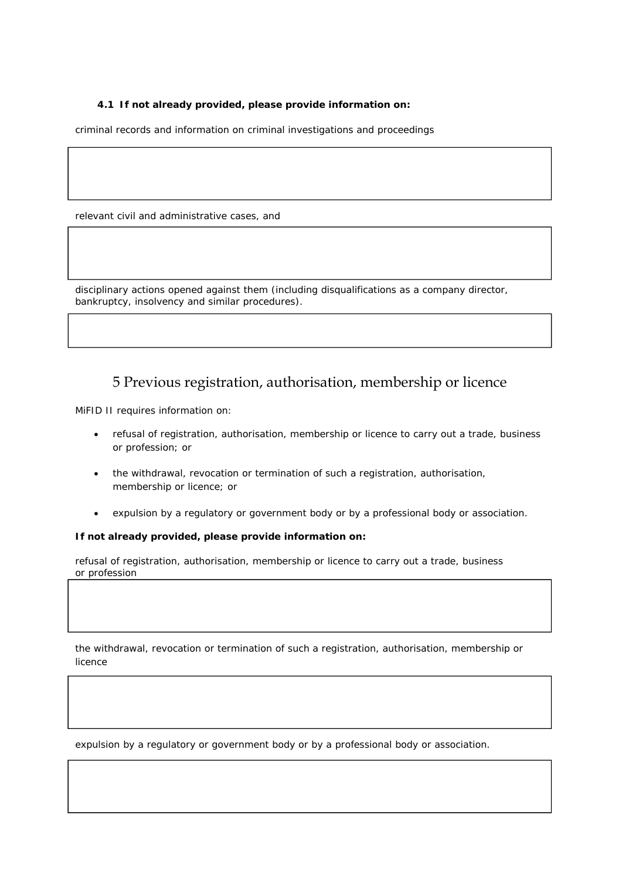### **4.1 If not already provided, please provide information on:**

criminal records and information on criminal investigations and proceedings

relevant civil and administrative cases, and

disciplinary actions opened against them (including disqualifications as a company director, bankruptcy, insolvency and similar procedures).

# 5 Previous registration, authorisation, membership or licence

MiFID II requires information on:

- refusal of registration, authorisation, membership or licence to carry out a trade, business or profession; or
- the withdrawal, revocation or termination of such a registration, authorisation, membership or licence; or
- expulsion by a regulatory or government body or by a professional body or association.

**If not already provided, please provide information on:** 

refusal of registration, authorisation, membership or licence to carry out a trade, business or profession

the withdrawal, revocation or termination of such a registration, authorisation, membership or licence

expulsion by a regulatory or government body or by a professional body or association.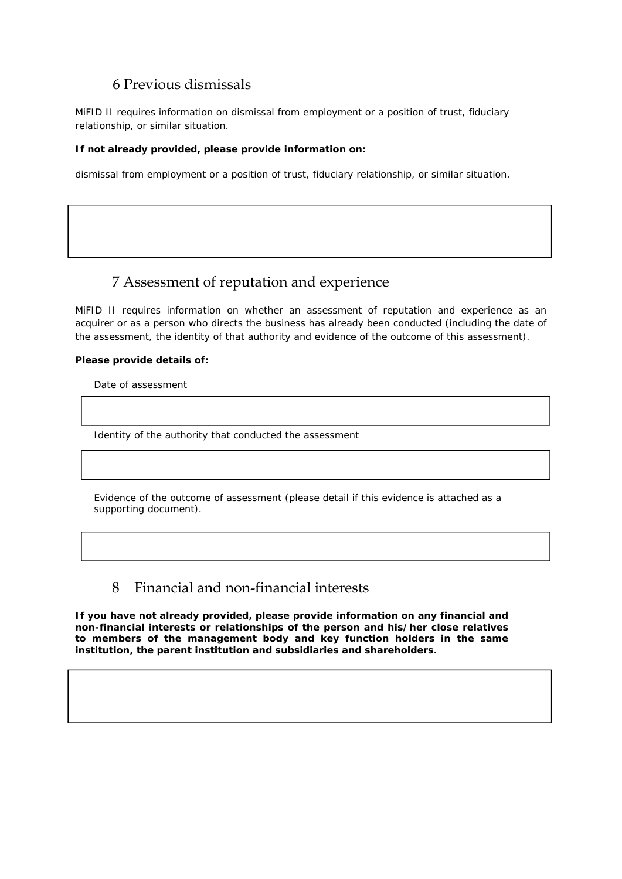# 6 Previous dismissals

MiFID II requires information on dismissal from employment or a position of trust, fiduciary relationship, or similar situation.

#### **If not already provided, please provide information on:**

dismissal from employment or a position of trust, fiduciary relationship, or similar situation.

# 7 Assessment of reputation and experience

MiFID II requires information on whether an assessment of reputation and experience as an acquirer or as a person who directs the business has already been conducted (including the date of the assessment, the identity of that authority and evidence of the outcome of this assessment).

#### **Please provide details of:**

Date of assessment

Identity of the authority that conducted the assessment

Evidence of the outcome of assessment (please detail if this evidence is attached as a supporting document).

## 8 Financial and non-financial interests

**If you have not already provided, please provide information on any financial and non-financial interests or relationships of the person and his/her close relatives to members of the management body and key function holders in the same institution, the parent institution and subsidiaries and shareholders.**